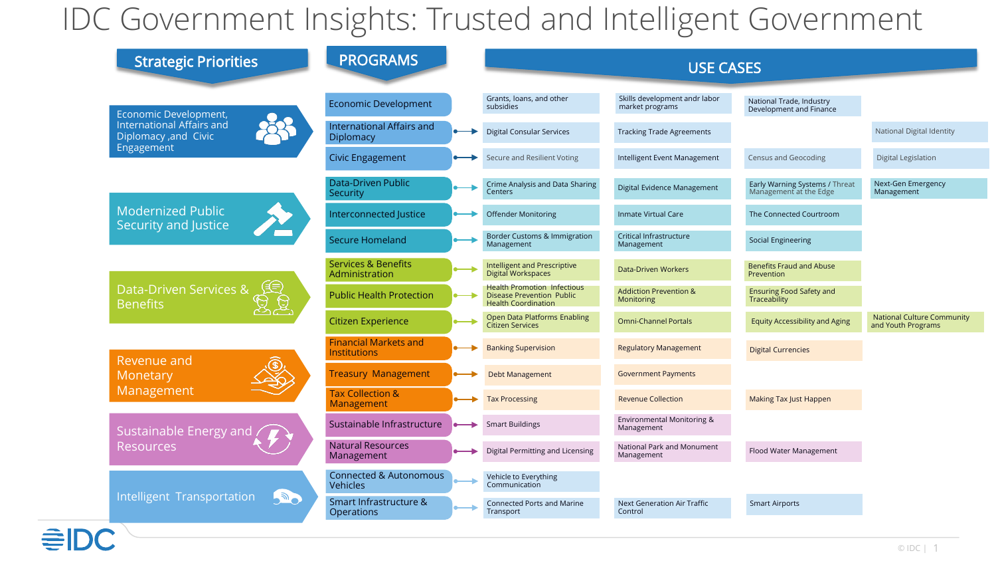## IDC Government Insights: Trusted and Intelligent Government

| <b>Strategic Priorities</b>                                            | <b>PROGRAMS</b>                                  | <b>USE CASES</b>                                                                                     |                                                        |                                                          |                                                         |  |
|------------------------------------------------------------------------|--------------------------------------------------|------------------------------------------------------------------------------------------------------|--------------------------------------------------------|----------------------------------------------------------|---------------------------------------------------------|--|
| Economic Development,                                                  | <b>Economic Development</b>                      | Grants, loans, and other<br>subsidies                                                                | Skills development andr labor<br>market programs       | National Trade, Industry<br>Development and Finance      |                                                         |  |
| <b>International Affairs and</b><br>Diplomacy ,and Civic<br>Engagement | <b>International Affairs and</b><br>Diplomacy    | <b>Digital Consular Services</b>                                                                     | <b>Tracking Trade Agreements</b>                       |                                                          | National Digital Identity                               |  |
|                                                                        | <b>Civic Engagement</b>                          | Secure and Resilient Voting                                                                          | Intelligent Event Management                           | <b>Census and Geocoding</b>                              | Digital Legislation                                     |  |
| <b>Modernized Public</b><br>Security and Justice                       | <b>Data-Driven Public</b><br>Security            | Crime Analysis and Data Sharing<br>Centers                                                           | Digital Evidence Management                            | Early Warning Systems / Threat<br>Management at the Edge | Next-Gen Emergency<br>Management                        |  |
|                                                                        | Interconnected Justice                           | <b>Offender Monitoring</b>                                                                           | <b>Inmate Virtual Care</b>                             | The Connected Courtroom                                  |                                                         |  |
|                                                                        | <b>Secure Homeland</b>                           | Border Customs & Immigration<br>Management                                                           | Critical Infrastructure<br>Management                  | Social Engineering                                       |                                                         |  |
| <b>Data-Driven Services &amp;</b><br><b>Benefits</b>                   | <b>Services &amp; Benefits</b><br>Administration | Intelligent and Prescriptive<br>Digital Workspaces                                                   | <b>Data-Driven Workers</b>                             | <b>Benefits Fraud and Abuse</b><br>Prevention            |                                                         |  |
|                                                                        | <b>Public Health Protection</b>                  | <b>Health Promotion Infectious</b><br><b>Disease Prevention Public</b><br><b>Health Coordination</b> | <b>Addiction Prevention &amp;</b><br><b>Monitoring</b> | <b>Ensuring Food Safety and</b><br>Traceability          |                                                         |  |
|                                                                        | <b>Citizen Experience</b>                        | Open Data Platforms Enabling<br>Citizen Services                                                     | <b>Omni-Channel Portals</b>                            | <b>Equity Accessibility and Aging</b>                    | <b>National Culture Community</b><br>and Youth Programs |  |
| Revenue and<br>Monetary<br>Management                                  | <b>Financial Markets and</b><br>Institutions     | <b>Banking Supervision</b>                                                                           | <b>Regulatory Management</b>                           | <b>Digital Currencies</b>                                |                                                         |  |
|                                                                        | <b>Treasury Management</b>                       | <b>Debt Management</b>                                                                               | <b>Government Payments</b>                             |                                                          |                                                         |  |
|                                                                        | <b>Tax Collection &amp;</b><br>Management        | <b>Tax Processing</b>                                                                                | <b>Revenue Collection</b>                              | <b>Making Tax Just Happen</b>                            |                                                         |  |
| <b>Sustainable Energy and</b><br><b>Resources</b>                      | Sustainable Infrastructure                       | <b>Smart Buildings</b>                                                                               | Environmental Monitoring &<br>Management               |                                                          |                                                         |  |
|                                                                        | <b>Natural Resources</b><br>Management           | Digital Permitting and Licensing                                                                     | National Park and Monument<br>Management               | Flood Water Management                                   |                                                         |  |
| Intelligent Transportation<br><b>SOLUTION</b>                          | <b>Connected &amp; Autonomous</b><br>Vehicles    | Vehicle to Everything<br>Communication                                                               |                                                        |                                                          |                                                         |  |
|                                                                        | Smart Infrastructure &<br>Operations             | <b>Connected Ports and Marine</b><br>Transport                                                       | Next Generation Air Traffic<br>Control                 | <b>Smart Airports</b>                                    |                                                         |  |